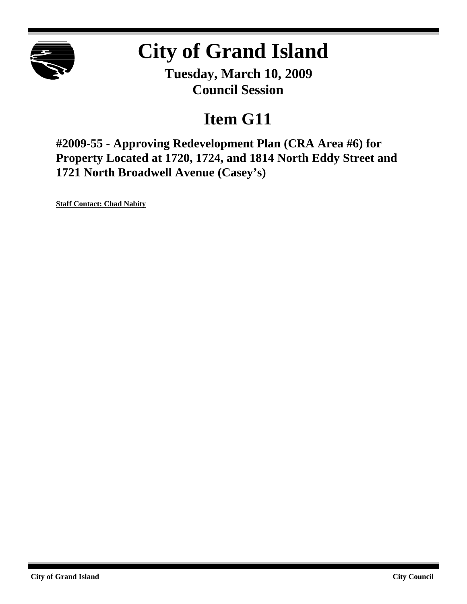

# **City of Grand Island**

**Tuesday, March 10, 2009 Council Session**

## **Item G11**

**#2009-55 - Approving Redevelopment Plan (CRA Area #6) for Property Located at 1720, 1724, and 1814 North Eddy Street and 1721 North Broadwell Avenue (Casey's)**

**Staff Contact: Chad Nabity**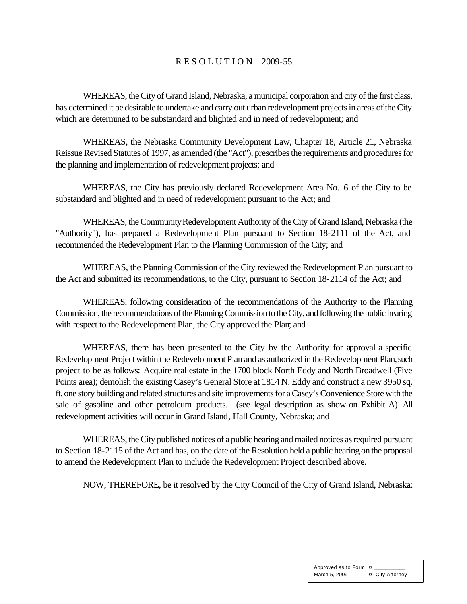### R E S O L U T I O N 2009-55

WHEREAS, the City of Grand Island, Nebraska, a municipal corporation and city of the first class, has determined it be desirable to undertake and carry out urban redevelopment projects in areas of the City which are determined to be substandard and blighted and in need of redevelopment; and

WHEREAS, the Nebraska Community Development Law, Chapter 18, Article 21, Nebraska Reissue Revised Statutes of 1997, as amended (the "Act"), prescribes the requirements and procedures for the planning and implementation of redevelopment projects; and

WHEREAS, the City has previously declared Redevelopment Area No. 6 of the City to be substandard and blighted and in need of redevelopment pursuant to the Act; and

WHEREAS, the Community Redevelopment Authority of the City of Grand Island, Nebraska (the "Authority"), has prepared a Redevelopment Plan pursuant to Section 18-2111 of the Act, and recommended the Redevelopment Plan to the Planning Commission of the City; and

WHEREAS, the Planning Commission of the City reviewed the Redevelopment Plan pursuant to the Act and submitted its recommendations, to the City, pursuant to Section 18-2114 of the Act; and

WHEREAS, following consideration of the recommendations of the Authority to the Planning Commission, the recommendations of the Planning Commission to the City, and following the public hearing with respect to the Redevelopment Plan, the City approved the Plan; and

WHEREAS, there has been presented to the City by the Authority for approval a specific Redevelopment Project within the Redevelopment Plan and as authorized in the Redevelopment Plan, such project to be as follows: Acquire real estate in the 1700 block North Eddy and North Broadwell (Five Points area); demolish the existing Casey's General Store at 1814 N. Eddy and construct a new 3950 sq. ft. one story building and related structures and site improvements for a Casey's Convenience Store with the sale of gasoline and other petroleum products. (see legal description as show on Exhibit A) All redevelopment activities will occur in Grand Island, Hall County, Nebraska; and

WHEREAS, the City published notices of a public hearing and mailed notices as required pursuant to Section 18-2115 of the Act and has, on the date of the Resolution held a public hearing on the proposal to amend the Redevelopment Plan to include the Redevelopment Project described above.

NOW, THEREFORE, be it resolved by the City Council of the City of Grand Island, Nebraska: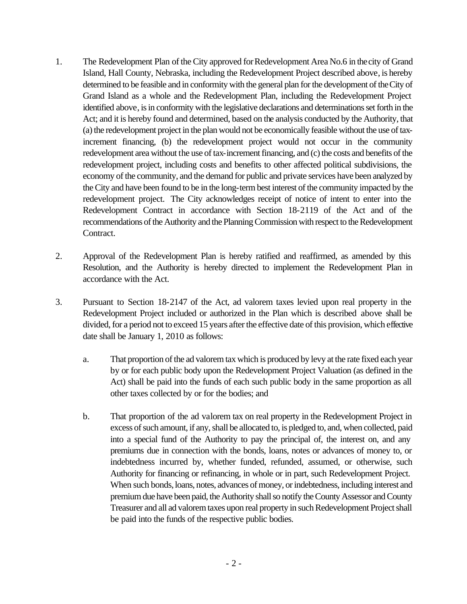- 1. The Redevelopment Plan of the City approved for Redevelopment Area No.6 in the city of Grand Island, Hall County, Nebraska, including the Redevelopment Project described above, is hereby determined to be feasible and in conformity with the general plan for the development of the City of Grand Island as a whole and the Redevelopment Plan, including the Redevelopment Project identified above, is in conformity with the legislative declarations and determinations set forth in the Act; and it is hereby found and determined, based on the analysis conducted by the Authority, that (a) the redevelopment project in the plan would not be economically feasible without the use of taxincrement financing, (b) the redevelopment project would not occur in the community redevelopment area without the use of tax-increment financing, and (c) the costs and benefits of the redevelopment project, including costs and benefits to other affected political subdivisions, the economy of the community, and the demand for public and private services have been analyzed by the City and have been found to be in the long-term best interest of the community impacted by the redevelopment project. The City acknowledges receipt of notice of intent to enter into the Redevelopment Contract in accordance with Section 18-2119 of the Act and of the recommendations of the Authority and the Planning Commission with respect to the Redevelopment Contract.
- 2. Approval of the Redevelopment Plan is hereby ratified and reaffirmed, as amended by this Resolution, and the Authority is hereby directed to implement the Redevelopment Plan in accordance with the Act.
- 3. Pursuant to Section 18-2147 of the Act, ad valorem taxes levied upon real property in the Redevelopment Project included or authorized in the Plan which is described above shall be divided, for a period not to exceed 15 years after the effective date of this provision, which effective date shall be January 1, 2010 as follows:
	- a. That proportion of the ad valorem tax which is produced by levy at the rate fixed each year by or for each public body upon the Redevelopment Project Valuation (as defined in the Act) shall be paid into the funds of each such public body in the same proportion as all other taxes collected by or for the bodies; and
	- b. That proportion of the ad valorem tax on real property in the Redevelopment Project in excess of such amount, if any, shall be allocated to, is pledged to, and, when collected, paid into a special fund of the Authority to pay the principal of, the interest on, and any premiums due in connection with the bonds, loans, notes or advances of money to, or indebtedness incurred by, whether funded, refunded, assumed, or otherwise, such Authority for financing or refinancing, in whole or in part, such Redevelopment Project. When such bonds, loans, notes, advances of money, or indebtedness, including interest and premium due have been paid, the Authority shall so notify the County Assessor and County Treasurer and all ad valorem taxes upon real property in such Redevelopment Project shall be paid into the funds of the respective public bodies.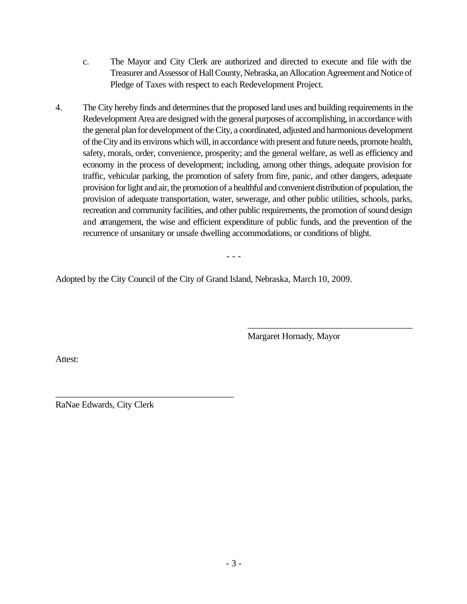- c. The Mayor and City Clerk are authorized and directed to execute and file with the Treasurer and Assessor of Hall County, Nebraska, an Allocation Agreement and Notice of Pledge of Taxes with respect to each Redevelopment Project.
- 4. The City hereby finds and determines that the proposed land uses and building requirements in the Redevelopment Area are designed with the general purposes of accomplishing, in accordance with the general plan for development of the City, a coordinated, adjusted and harmonious development of the City and its environs which will, in accordance with present and future needs, promote health, safety, morals, order, convenience, prosperity; and the general welfare, as well as efficiency and economy in the process of development; including, among other things, adequate provision for traffic, vehicular parking, the promotion of safety from fire, panic, and other dangers, adequate provision for light and air, the promotion of a healthful and convenient distribution of population, the provision of adequate transportation, water, sewerage, and other public utilities, schools, parks, recreation and community facilities, and other public requirements, the promotion of sound design and arrangement, the wise and efficient expenditure of public funds, and the prevention of the recurrence of unsanitary or unsafe dwelling accommodations, or conditions of blight.

- - -

Adopted by the City Council of the City of Grand Island, Nebraska, March 10, 2009.

Margaret Hornady, Mayor

\_\_\_\_\_\_\_\_\_\_\_\_\_\_\_\_\_\_\_\_\_\_\_\_\_\_\_\_\_\_\_\_\_\_\_\_\_\_\_

Attest:

RaNae Edwards, City Clerk

\_\_\_\_\_\_\_\_\_\_\_\_\_\_\_\_\_\_\_\_\_\_\_\_\_\_\_\_\_\_\_\_\_\_\_\_\_\_\_